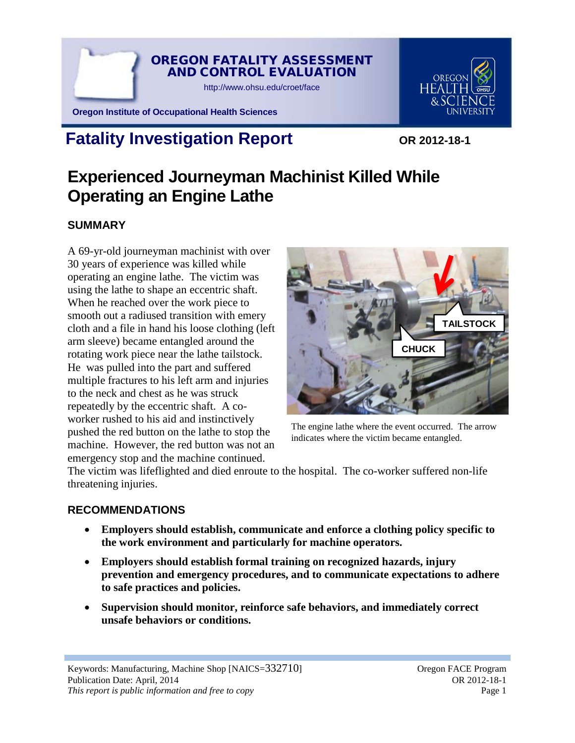

# OREGON

**Oregon Institute of Occupational Health Sciences**

# **Fatality Investigation Report** OR 2012-18-1

# **Experienced Journeyman Machinist Killed While Operating an Engine Lathe**

# **SUMMARY**

A 69-yr-old journeyman machinist with over 30 years of experience was killed while operating an engine lathe. The victim was using the lathe to shape an eccentric shaft. When he reached over the work piece to smooth out a radiused transition with emery cloth and a file in hand his loose clothing (left arm sleeve) became entangled around the rotating work piece near the lathe tailstock. He was pulled into the part and suffered multiple fractures to his left arm and injuries to the neck and chest as he was struck repeatedly by the eccentric shaft. A coworker rushed to his aid and instinctively pushed the red button on the lathe to stop the machine. However, the red button was not an emergency stop and the machine continued.



The engine lathe where the event occurred. The arrow indicates where the victim became entangled.

The victim was lifeflighted and died enroute to the hospital. The co-worker suffered non-life threatening injuries.

## **RECOMMENDATIONS**

- **Employers should establish, communicate and enforce a clothing policy specific to the work environment and particularly for machine operators.**
- **Employers should establish formal training on recognized hazards, injury prevention and emergency procedures, and to communicate expectations to adhere to safe practices and policies.**
- **Supervision should monitor, reinforce safe behaviors, and immediately correct unsafe behaviors or conditions.**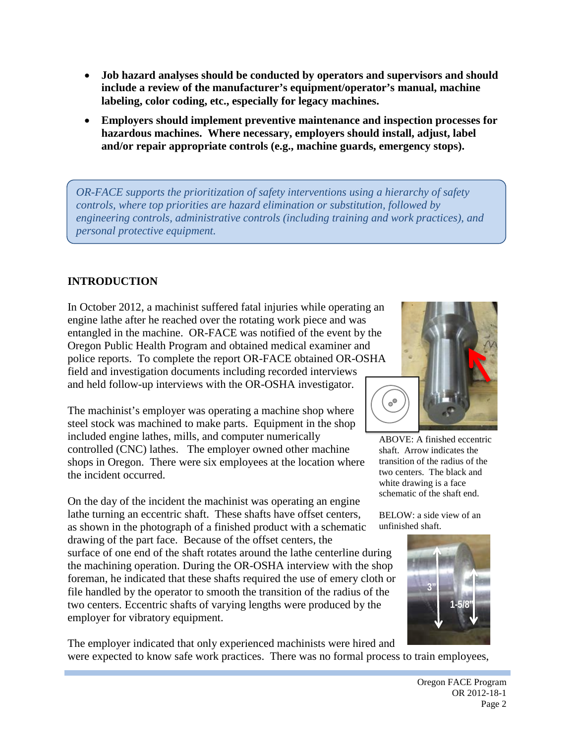- **Job hazard analyses should be conducted by operators and supervisors and should include a review of the manufacturer's equipment/operator's manual, machine labeling, color coding, etc., especially for legacy machines.**
- **Employers should implement preventive maintenance and inspection processes for hazardous machines. Where necessary, employers should install, adjust, label and/or repair appropriate controls (e.g., machine guards, emergency stops).**

*OR-FACE supports the prioritization of safety interventions using a hierarchy of safety controls, where top priorities are hazard elimination or substitution, followed by engineering controls, administrative controls (including training and work practices), and personal protective equipment.* 

## **INTRODUCTION**

In October 2012, a machinist suffered fatal injuries while operating an engine lathe after he reached over the rotating work piece and was entangled in the machine. OR-FACE was notified of the event by the Oregon Public Health Program and obtained medical examiner and police reports. To complete the report OR-FACE obtained OR-OSHA field and investigation documents including recorded interviews and held follow-up interviews with the OR-OSHA investigator.

The machinist's employer was operating a machine shop where steel stock was machined to make parts. Equipment in the shop included engine lathes, mills, and computer numerically controlled (CNC) lathes. The employer owned other machine shops in Oregon. There were six employees at the location where the incident occurred.

On the day of the incident the machinist was operating an engine lathe turning an eccentric shaft. These shafts have offset centers, as shown in the photograph of a finished product with a schematic drawing of the part face. Because of the offset centers, the surface of one end of the shaft rotates around the lathe centerline during the machining operation. During the OR-OSHA interview with the shop foreman, he indicated that these shafts required the use of emery cloth or file handled by the operator to smooth the transition of the radius of the two centers. Eccentric shafts of varying lengths were produced by the employer for vibratory equipment.

The employer indicated that only experienced machinists were hired and were expected to know safe work practices. There was no formal process to train employees,



ABOVE: A finished eccentric shaft. Arrow indicates the transition of the radius of the two centers. The black and white drawing is a face schematic of the shaft end.

BELOW: a side view of an unfinished shaft.

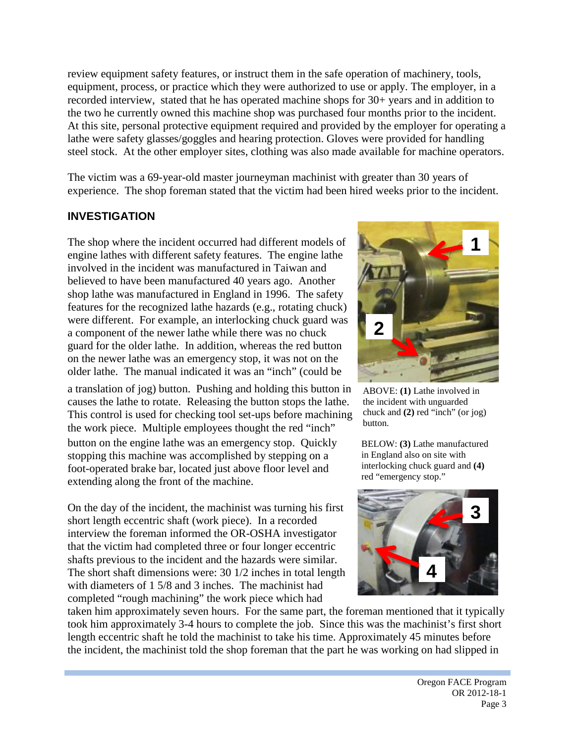review equipment safety features, or instruct them in the safe operation of machinery, tools, equipment, process, or practice which they were authorized to use or apply. The employer, in a recorded interview, stated that he has operated machine shops for 30+ years and in addition to the two he currently owned this machine shop was purchased four months prior to the incident. At this site, personal protective equipment required and provided by the employer for operating a lathe were safety glasses/goggles and hearing protection. Gloves were provided for handling steel stock. At the other employer sites, clothing was also made available for machine operators.

The victim was a 69-year-old master journeyman machinist with greater than 30 years of experience. The shop foreman stated that the victim had been hired weeks prior to the incident.

#### **INVESTIGATION**

The shop where the incident occurred had different models of engine lathes with different safety features. The engine lathe involved in the incident was manufactured in Taiwan and believed to have been manufactured 40 years ago. Another shop lathe was manufactured in England in 1996. The safety features for the recognized lathe hazards (e.g., rotating chuck) were different. For example, an interlocking chuck guard was a component of the newer lathe while there was no chuck guard for the older lathe. In addition, whereas the red button on the newer lathe was an emergency stop, it was not on the older lathe. The manual indicated it was an "inch" (could be

a translation of jog) button. Pushing and holding this button in causes the lathe to rotate. Releasing the button stops the lathe. This control is used for checking tool set-ups before machining the work piece. Multiple employees thought the red "inch"

button on the engine lathe was an emergency stop. Quickly stopping this machine was accomplished by stepping on a foot-operated brake bar, located just above floor level and extending along the front of the machine.

On the day of the incident, the machinist was turning his first short length eccentric shaft (work piece). In a recorded interview the foreman informed the OR-OSHA investigator that the victim had completed three or four longer eccentric shafts previous to the incident and the hazards were similar. The short shaft dimensions were: 30 1/2 inches in total length with diameters of 1 5/8 and 3 inches. The machinist had completed "rough machining" the work piece which had



ABOVE: **(1)** Lathe involved in the incident with unguarded chuck and **(2)** red "inch" (or jog) button.

BELOW: **(3)** Lathe manufactured in England also on site with interlocking chuck guard and **(4)** red "emergency stop."



taken him approximately seven hours. For the same part, the foreman mentioned that it typically took him approximately 3-4 hours to complete the job. Since this was the machinist's first short length eccentric shaft he told the machinist to take his time. Approximately 45 minutes before the incident, the machinist told the shop foreman that the part he was working on had slipped in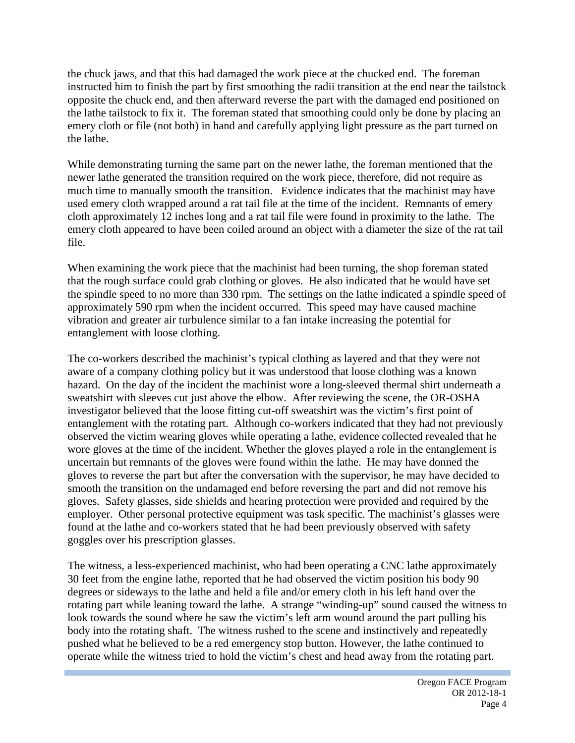the chuck jaws, and that this had damaged the work piece at the chucked end. The foreman instructed him to finish the part by first smoothing the radii transition at the end near the tailstock opposite the chuck end, and then afterward reverse the part with the damaged end positioned on the lathe tailstock to fix it. The foreman stated that smoothing could only be done by placing an emery cloth or file (not both) in hand and carefully applying light pressure as the part turned on the lathe.

While demonstrating turning the same part on the newer lathe, the foreman mentioned that the newer lathe generated the transition required on the work piece, therefore, did not require as much time to manually smooth the transition. Evidence indicates that the machinist may have used emery cloth wrapped around a rat tail file at the time of the incident. Remnants of emery cloth approximately 12 inches long and a rat tail file were found in proximity to the lathe. The emery cloth appeared to have been coiled around an object with a diameter the size of the rat tail file.

When examining the work piece that the machinist had been turning, the shop foreman stated that the rough surface could grab clothing or gloves. He also indicated that he would have set the spindle speed to no more than 330 rpm. The settings on the lathe indicated a spindle speed of approximately 590 rpm when the incident occurred. This speed may have caused machine vibration and greater air turbulence similar to a fan intake increasing the potential for entanglement with loose clothing.

The co-workers described the machinist's typical clothing as layered and that they were not aware of a company clothing policy but it was understood that loose clothing was a known hazard. On the day of the incident the machinist wore a long-sleeved thermal shirt underneath a sweatshirt with sleeves cut just above the elbow. After reviewing the scene, the OR-OSHA investigator believed that the loose fitting cut-off sweatshirt was the victim's first point of entanglement with the rotating part. Although co-workers indicated that they had not previously observed the victim wearing gloves while operating a lathe, evidence collected revealed that he wore gloves at the time of the incident. Whether the gloves played a role in the entanglement is uncertain but remnants of the gloves were found within the lathe. He may have donned the gloves to reverse the part but after the conversation with the supervisor, he may have decided to smooth the transition on the undamaged end before reversing the part and did not remove his gloves. Safety glasses, side shields and hearing protection were provided and required by the employer. Other personal protective equipment was task specific. The machinist's glasses were found at the lathe and co-workers stated that he had been previously observed with safety goggles over his prescription glasses.

The witness, a less-experienced machinist, who had been operating a CNC lathe approximately 30 feet from the engine lathe, reported that he had observed the victim position his body 90 degrees or sideways to the lathe and held a file and/or emery cloth in his left hand over the rotating part while leaning toward the lathe. A strange "winding-up" sound caused the witness to look towards the sound where he saw the victim's left arm wound around the part pulling his body into the rotating shaft. The witness rushed to the scene and instinctively and repeatedly pushed what he believed to be a red emergency stop button. However, the lathe continued to operate while the witness tried to hold the victim's chest and head away from the rotating part.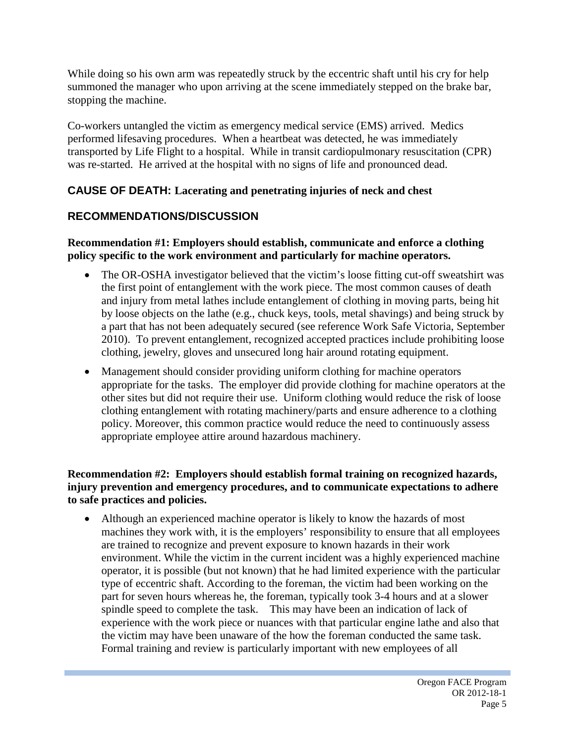While doing so his own arm was repeatedly struck by the eccentric shaft until his cry for help summoned the manager who upon arriving at the scene immediately stepped on the brake bar, stopping the machine.

Co-workers untangled the victim as emergency medical service (EMS) arrived. Medics performed lifesaving procedures. When a heartbeat was detected, he was immediately transported by Life Flight to a hospital. While in transit cardiopulmonary resuscitation (CPR) was re-started. He arrived at the hospital with no signs of life and pronounced dead.

# **CAUSE OF DEATH: Lacerating and penetrating injuries of neck and chest**

# **RECOMMENDATIONS/DISCUSSION**

#### **Recommendation #1: Employers should establish, communicate and enforce a clothing policy specific to the work environment and particularly for machine operators.**

- The OR-OSHA investigator believed that the victim's loose fitting cut-off sweatshirt was the first point of entanglement with the work piece. The most common causes of death and injury from metal lathes include entanglement of clothing in moving parts, being hit by loose objects on the lathe (e.g., chuck keys, tools, metal shavings) and being struck by a part that has not been adequately secured (see reference Work Safe Victoria, September 2010). To prevent entanglement, recognized accepted practices include prohibiting loose clothing, jewelry, gloves and unsecured long hair around rotating equipment.
- Management should consider providing uniform clothing for machine operators appropriate for the tasks. The employer did provide clothing for machine operators at the other sites but did not require their use. Uniform clothing would reduce the risk of loose clothing entanglement with rotating machinery/parts and ensure adherence to a clothing policy. Moreover, this common practice would reduce the need to continuously assess appropriate employee attire around hazardous machinery.

#### **Recommendation #2: Employers should establish formal training on recognized hazards, injury prevention and emergency procedures, and to communicate expectations to adhere to safe practices and policies.**

• Although an experienced machine operator is likely to know the hazards of most machines they work with, it is the employers' responsibility to ensure that all employees are trained to recognize and prevent exposure to known hazards in their work environment. While the victim in the current incident was a highly experienced machine operator, it is possible (but not known) that he had limited experience with the particular type of eccentric shaft. According to the foreman, the victim had been working on the part for seven hours whereas he, the foreman, typically took 3-4 hours and at a slower spindle speed to complete the task. This may have been an indication of lack of experience with the work piece or nuances with that particular engine lathe and also that the victim may have been unaware of the how the foreman conducted the same task. Formal training and review is particularly important with new employees of all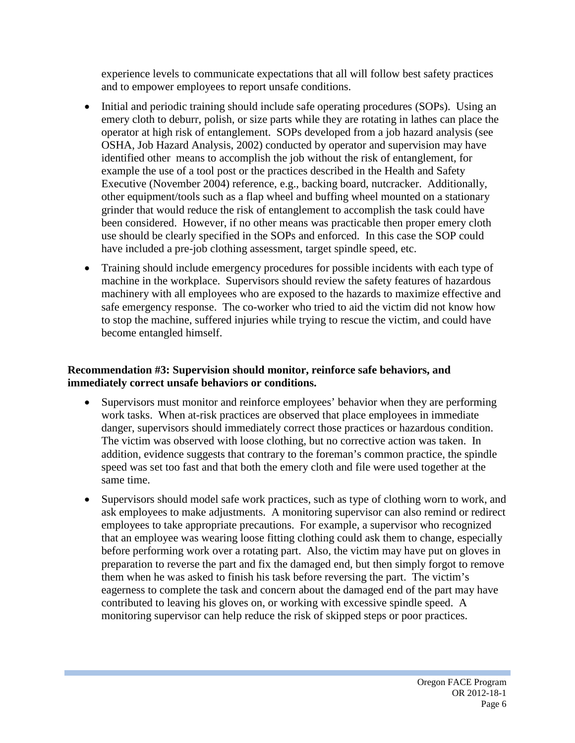experience levels to communicate expectations that all will follow best safety practices and to empower employees to report unsafe conditions.

- Initial and periodic training should include safe operating procedures (SOPs). Using an emery cloth to deburr, polish, or size parts while they are rotating in lathes can place the operator at high risk of entanglement. SOPs developed from a job hazard analysis (see OSHA, Job Hazard Analysis, 2002) conducted by operator and supervision may have identified other means to accomplish the job without the risk of entanglement, for example the use of a tool post or the practices described in the Health and Safety Executive (November 2004) reference, e.g., backing board, nutcracker. Additionally, other equipment/tools such as a flap wheel and buffing wheel mounted on a stationary grinder that would reduce the risk of entanglement to accomplish the task could have been considered. However, if no other means was practicable then proper emery cloth use should be clearly specified in the SOPs and enforced. In this case the SOP could have included a pre-job clothing assessment, target spindle speed, etc.
- Training should include emergency procedures for possible incidents with each type of machine in the workplace. Supervisors should review the safety features of hazardous machinery with all employees who are exposed to the hazards to maximize effective and safe emergency response. The co-worker who tried to aid the victim did not know how to stop the machine, suffered injuries while trying to rescue the victim, and could have become entangled himself.

#### **Recommendation #3: Supervision should monitor, reinforce safe behaviors, and immediately correct unsafe behaviors or conditions.**

- Supervisors must monitor and reinforce employees' behavior when they are performing work tasks. When at-risk practices are observed that place employees in immediate danger, supervisors should immediately correct those practices or hazardous condition. The victim was observed with loose clothing, but no corrective action was taken. In addition, evidence suggests that contrary to the foreman's common practice, the spindle speed was set too fast and that both the emery cloth and file were used together at the same time.
- Supervisors should model safe work practices, such as type of clothing worn to work, and ask employees to make adjustments. A monitoring supervisor can also remind or redirect employees to take appropriate precautions. For example, a supervisor who recognized that an employee was wearing loose fitting clothing could ask them to change, especially before performing work over a rotating part. Also, the victim may have put on gloves in preparation to reverse the part and fix the damaged end, but then simply forgot to remove them when he was asked to finish his task before reversing the part. The victim's eagerness to complete the task and concern about the damaged end of the part may have contributed to leaving his gloves on, or working with excessive spindle speed. A monitoring supervisor can help reduce the risk of skipped steps or poor practices.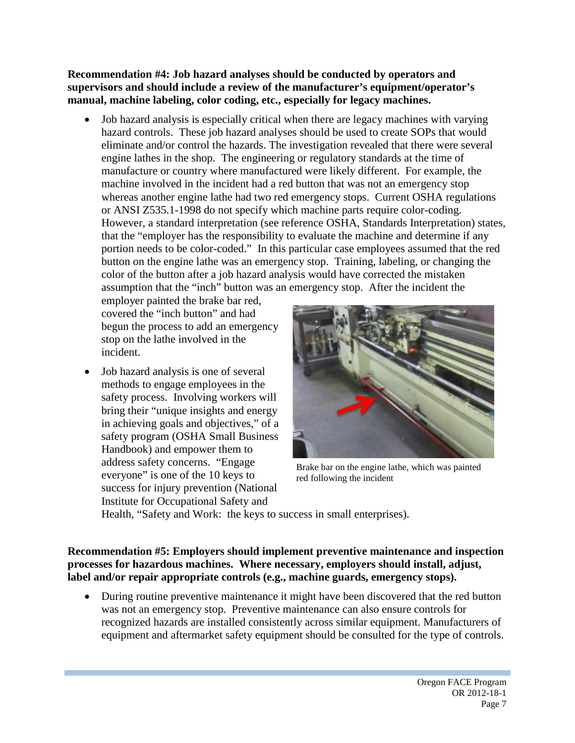#### **Recommendation #4: Job hazard analyses should be conducted by operators and supervisors and should include a review of the manufacturer's equipment/operator's manual, machine labeling, color coding, etc., especially for legacy machines.**

• Job hazard analysis is especially critical when there are legacy machines with varying hazard controls. These job hazard analyses should be used to create SOPs that would eliminate and/or control the hazards. The investigation revealed that there were several engine lathes in the shop. The engineering or regulatory standards at the time of manufacture or country where manufactured were likely different. For example, the machine involved in the incident had a red button that was not an emergency stop whereas another engine lathe had two red emergency stops. Current OSHA regulations or ANSI Z535.1-1998 do not specify which machine parts require color-coding. However, a standard interpretation (see reference OSHA, Standards Interpretation) states, that the "employer has the responsibility to evaluate the machine and determine if any portion needs to be color-coded." In this particular case employees assumed that the red button on the engine lathe was an emergency stop. Training, labeling, or changing the color of the button after a job hazard analysis would have corrected the mistaken assumption that the "inch" button was an emergency stop. After the incident the

employer painted the brake bar red, covered the "inch button" and had begun the process to add an emergency stop on the lathe involved in the incident.

• Job hazard analysis is one of several methods to engage employees in the safety process. Involving workers will bring their "unique insights and energy in achieving goals and objectives," of a safety program (OSHA Small Business Handbook) and empower them to address safety concerns. "Engage everyone" is one of the 10 keys to success for injury prevention (National Institute for Occupational Safety and



Brake bar on the engine lathe, which was painted red following the incident

Health, "Safety and Work: the keys to success in small enterprises).

#### **Recommendation #5: Employers should implement preventive maintenance and inspection processes for hazardous machines. Where necessary, employers should install, adjust, label and/or repair appropriate controls (e.g., machine guards, emergency stops).**

• During routine preventive maintenance it might have been discovered that the red button was not an emergency stop. Preventive maintenance can also ensure controls for recognized hazards are installed consistently across similar equipment. Manufacturers of equipment and aftermarket safety equipment should be consulted for the type of controls.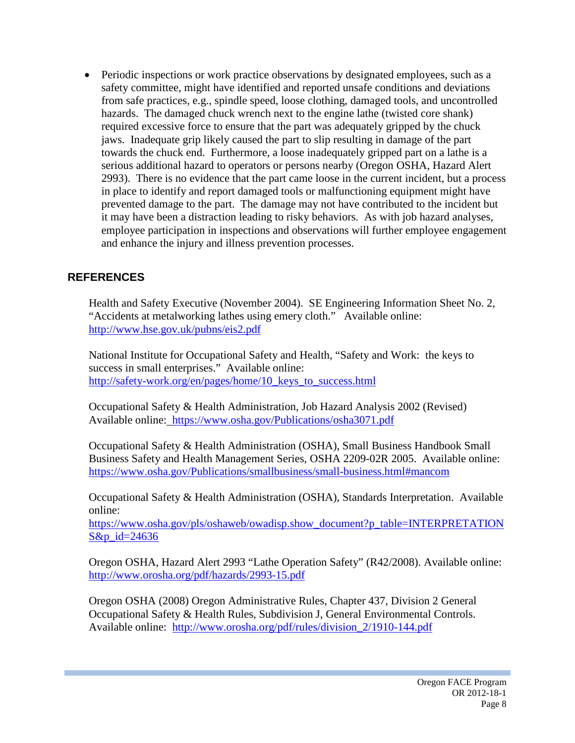• Periodic inspections or work practice observations by designated employees, such as a safety committee, might have identified and reported unsafe conditions and deviations from safe practices, e.g., spindle speed, loose clothing, damaged tools, and uncontrolled hazards. The damaged chuck wrench next to the engine lathe (twisted core shank) required excessive force to ensure that the part was adequately gripped by the chuck jaws. Inadequate grip likely caused the part to slip resulting in damage of the part towards the chuck end. Furthermore, a loose inadequately gripped part on a lathe is a serious additional hazard to operators or persons nearby (Oregon OSHA, Hazard Alert 2993). There is no evidence that the part came loose in the current incident, but a process in place to identify and report damaged tools or malfunctioning equipment might have prevented damage to the part. The damage may not have contributed to the incident but it may have been a distraction leading to risky behaviors. As with job hazard analyses, employee participation in inspections and observations will further employee engagement and enhance the injury and illness prevention processes.

## **REFERENCES**

Health and Safety Executive (November 2004). SE Engineering Information Sheet No. 2, "Accidents at metalworking lathes using emery cloth." Available online: <http://www.hse.gov.uk/pubns/eis2.pdf>

National Institute for Occupational Safety and Health, "Safety and Work: the keys to success in small enterprises." Available online: [http://safety-work.org/en/pages/home/10\\_keys\\_to\\_success.html](http://safety-work.org/en/pages/home/10_keys_to_success.html)

Occupational Safety & Health Administration, Job Hazard Analysis 2002 (Revised) Available online: <https://www.osha.gov/Publications/osha3071.pdf>

Occupational Safety & Health Administration (OSHA), Small Business Handbook Small Business Safety and Health Management Series, OSHA 2209-02R 2005. Available online: <https://www.osha.gov/Publications/smallbusiness/small-business.html#mancom>

Occupational Safety & Health Administration (OSHA), Standards Interpretation. Available online:

[https://www.osha.gov/pls/oshaweb/owadisp.show\\_document?p\\_table=INTERPRETATION](https://www.osha.gov/pls/oshaweb/owadisp.show_document?p_table=INTERPRETATIONS&p_id=24636) [S&p\\_id=24636](https://www.osha.gov/pls/oshaweb/owadisp.show_document?p_table=INTERPRETATIONS&p_id=24636)

Oregon OSHA, Hazard Alert 2993 "Lathe Operation Safety" (R42/2008). Available online: <http://www.orosha.org/pdf/hazards/2993-15.pdf>

Oregon OSHA (2008) Oregon Administrative Rules, Chapter 437, Division 2 General Occupational Safety & Health Rules, Subdivision J, General Environmental Controls. Available online: [http://www.orosha.org/pdf/rules/division\\_2/1910-144.pdf](http://www.orosha.org/pdf/rules/division_2/1910-144.pdf)